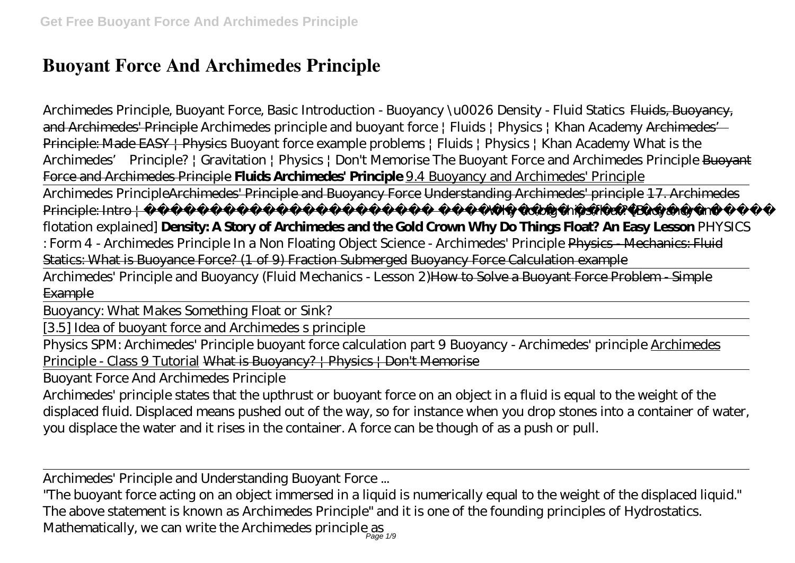## **Buoyant Force And Archimedes Principle**

*Archimedes Principle, Buoyant Force, Basic Introduction - Buoyancy \u0026 Density - Fluid Statics* Fluids, Buoyancy, and Archimedes' Principle *Archimedes principle and buoyant force | Fluids | Physics | Khan Academy* Archimedes' Principle: Made EASY | Physics Buoyant force example problems | Fluids | Physics | Khan Academy What is the Archimedes' Principle? | Gravitation | Physics | Don't Memorise *The Buoyant Force and Archimedes Principle* Buoyant Force and Archimedes Principle **Fluids Archimedes' Principle** 9.4 Buoyancy and Archimedes' Principle

Archimedes PrincipleArchimedes' Principle and Buoyancy Force Understanding Archimedes' principle 17. Archimedes Principle: Intro | The state of the Minister School and Why do big ships float? [Buoyancy and

flotation explained] **Density: A Story of Archimedes and the Gold Crown Why Do Things Float? An Easy Lesson** PHYSICS

: Form 4 - Archimedes Principle In a Non Floating Object *Science - Archimedes' Principle* Physics - Mechanics: Fluid Statics: What is Buoyance Force? (1 of 9) Fraction Submerged Buoyancy Force Calculation example

Archimedes' Principle and Buovancy (Fluid Mechanics - Lesson 2) How to Solve a Buovant Force Problem - Simple **Example** 

Buoyancy: What Makes Something Float or Sink?

[3.5] Idea of buoyant force and Archimedes s principle

Physics SPM: Archimedes' Principle buoyant force calculation part 9 Buoyancy - Archimedes' principle Archimedes Principle - Class 9 Tutorial What is Buoyancy? | Physics | Don't Memorise

Buoyant Force And Archimedes Principle

Archimedes' principle states that the upthrust or buoyant force on an object in a fluid is equal to the weight of the displaced fluid. Displaced means pushed out of the way, so for instance when you drop stones into a container of water, you displace the water and it rises in the container. A force can be though of as a push or pull.

Archimedes' Principle and Understanding Buoyant Force ...

"The buoyant force acting on an object immersed in a liquid is numerically equal to the weight of the displaced liquid." The above statement is known as Archimedes Principle" and it is one of the founding principles of Hydrostatics. Mathematically, we can write the Archimedes principle as  $_{\rho_{\text{agg}}}$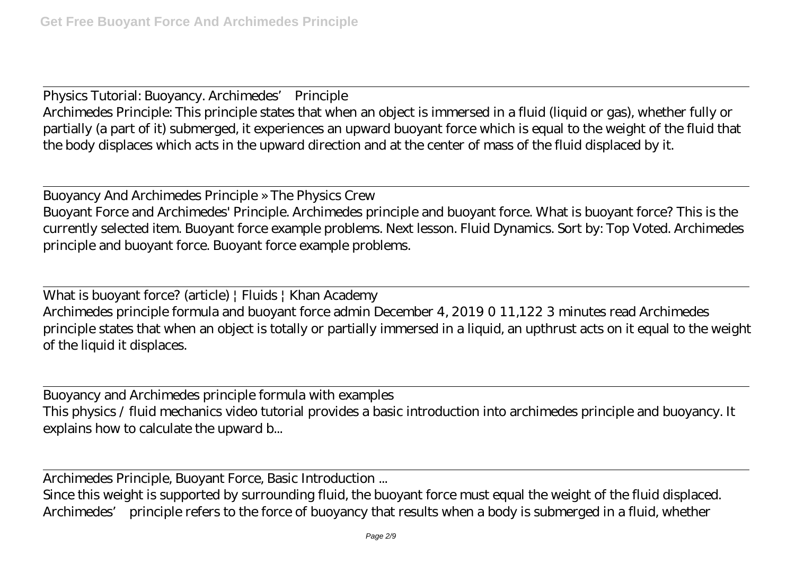Physics Tutorial: Buoyancy. Archimedes' Principle Archimedes Principle: This principle states that when an object is immersed in a fluid (liquid or gas), whether fully or partially (a part of it) submerged, it experiences an upward buoyant force which is equal to the weight of the fluid that the body displaces which acts in the upward direction and at the center of mass of the fluid displaced by it.

Buoyancy And Archimedes Principle » The Physics Crew Buoyant Force and Archimedes' Principle. Archimedes principle and buoyant force. What is buoyant force? This is the currently selected item. Buoyant force example problems. Next lesson. Fluid Dynamics. Sort by: Top Voted. Archimedes principle and buoyant force. Buoyant force example problems.

What is buoyant force? (article) | Fluids | Khan Academy Archimedes principle formula and buoyant force admin December 4, 2019 0 11,122 3 minutes read Archimedes principle states that when an object is totally or partially immersed in a liquid, an upthrust acts on it equal to the weight of the liquid it displaces.

Buoyancy and Archimedes principle formula with examples This physics / fluid mechanics video tutorial provides a basic introduction into archimedes principle and buoyancy. It explains how to calculate the upward b...

Archimedes Principle, Buoyant Force, Basic Introduction ...

Since this weight is supported by surrounding fluid, the buoyant force must equal the weight of the fluid displaced. Archimedes' principle refers to the force of buoyancy that results when a body is submerged in a fluid, whether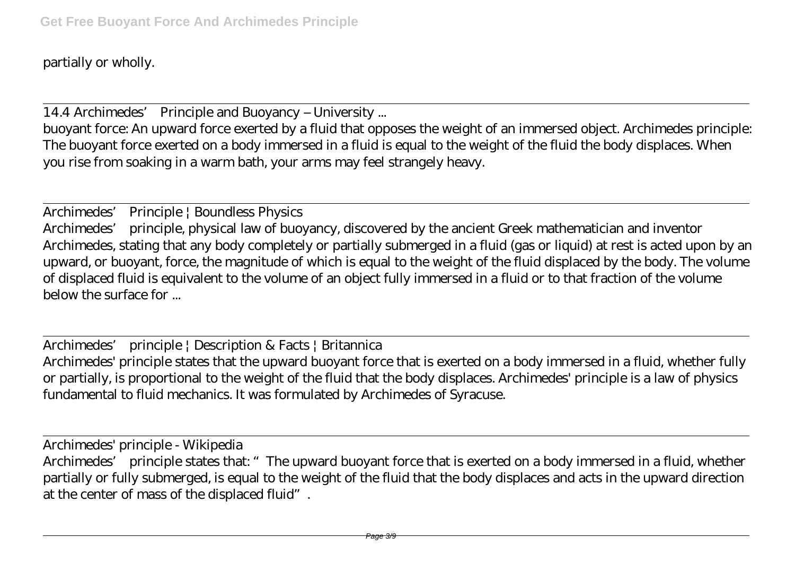partially or wholly.

14.4 Archimedes' Principle and Buoyancy – University ...

buoyant force: An upward force exerted by a fluid that opposes the weight of an immersed object. Archimedes principle: The buoyant force exerted on a body immersed in a fluid is equal to the weight of the fluid the body displaces. When you rise from soaking in a warm bath, your arms may feel strangely heavy.

Archimedes' Principle | Boundless Physics Archimedes' principle, physical law of buoyancy, discovered by the ancient Greek mathematician and inventor Archimedes, stating that any body completely or partially submerged in a fluid (gas or liquid) at rest is acted upon by an upward, or buoyant, force, the magnitude of which is equal to the weight of the fluid displaced by the body. The volume of displaced fluid is equivalent to the volume of an object fully immersed in a fluid or to that fraction of the volume below the surface for ...

Archimedes' principle | Description & Facts | Britannica Archimedes' principle states that the upward buoyant force that is exerted on a body immersed in a fluid, whether fully or partially, is proportional to the weight of the fluid that the body displaces. Archimedes' principle is a law of physics fundamental to fluid mechanics. It was formulated by Archimedes of Syracuse.

Archimedes' principle - Wikipedia Archimedes' principle states that: "The upward buoyant force that is exerted on a body immersed in a fluid, whether partially or fully submerged, is equal to the weight of the fluid that the body displaces and acts in the upward direction at the center of mass of the displaced fluid".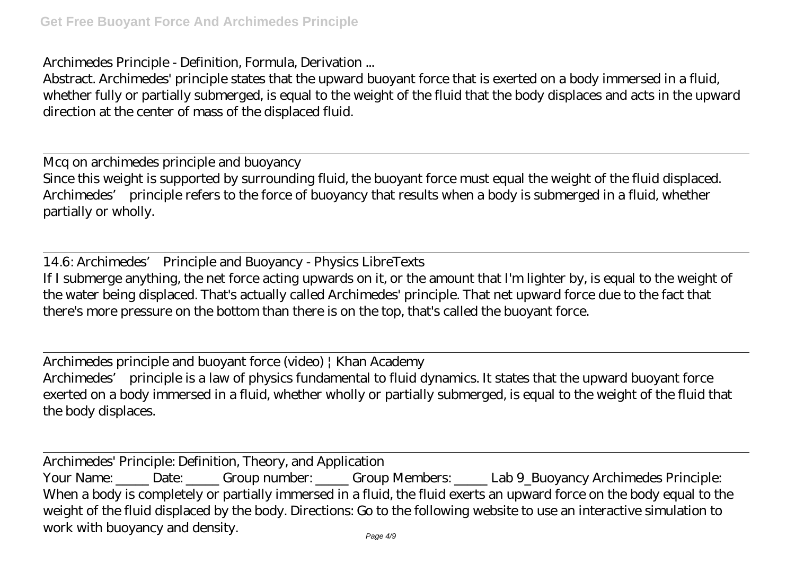Archimedes Principle - Definition, Formula, Derivation ...

Abstract. Archimedes' principle states that the upward buoyant force that is exerted on a body immersed in a fluid, whether fully or partially submerged, is equal to the weight of the fluid that the body displaces and acts in the upward direction at the center of mass of the displaced fluid.

Mcq on archimedes principle and buoyancy Since this weight is supported by surrounding fluid, the buoyant force must equal the weight of the fluid displaced. Archimedes' principle refers to the force of buoyancy that results when a body is submerged in a fluid, whether partially or wholly.

14.6: Archimedes' Principle and Buoyancy - Physics LibreTexts If I submerge anything, the net force acting upwards on it, or the amount that I'm lighter by, is equal to the weight of the water being displaced. That's actually called Archimedes' principle. That net upward force due to the fact that there's more pressure on the bottom than there is on the top, that's called the buoyant force.

Archimedes principle and buoyant force (video) | Khan Academy Archimedes' principle is a law of physics fundamental to fluid dynamics. It states that the upward buoyant force exerted on a body immersed in a fluid, whether wholly or partially submerged, is equal to the weight of the fluid that the body displaces.

Archimedes' Principle: Definition, Theory, and Application Your Name: Date: Group number: Group Members: Lab 9\_Buoyancy Archimedes Principle: When a body is completely or partially immersed in a fluid, the fluid exerts an upward force on the body equal to the weight of the fluid displaced by the body. Directions: Go to the following website to use an interactive simulation to work with buoyancy and density.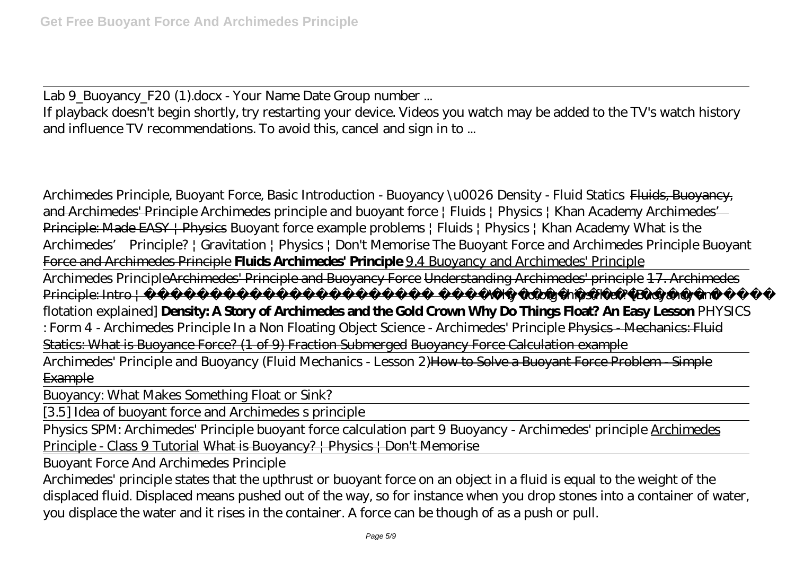Lab 9\_Buoyancy\_F20 (1).docx - Your Name Date Group number ...

If playback doesn't begin shortly, try restarting your device. Videos you watch may be added to the TV's watch history and influence TV recommendations. To avoid this, cancel and sign in to ...

*Archimedes Principle, Buoyant Force, Basic Introduction - Buoyancy \u0026 Density - Fluid Statics* Fluids, Buoyancy, and Archimedes' Principle *Archimedes principle and buoyant force | Fluids | Physics | Khan Academy* Archimedes' Principle: Made EASY | Physics Buoyant force example problems | Fluids | Physics | Khan Academy What is the Archimedes' Principle? | Gravitation | Physics | Don't Memorise *The Buoyant Force and Archimedes Principle* Buoyant Force and Archimedes Principle **Fluids Archimedes' Principle** 9.4 Buoyancy and Archimedes' Principle

Archimedes PrincipleArchimedes' Principle and Buoyancy Force Understanding Archimedes' principle 17. Archimedes Principle: Intro | **Why do big ships float?** [Buoyancy and flotation explained] **Density: A Story of Archimedes and the Gold Crown Why Do Things Float? An Easy Lesson** PHYSICS : Form 4 - Archimedes Principle In a Non Floating Object *Science - Archimedes' Principle* Physics - Mechanics: Fluid Statics: What is Buoyance Force? (1 of 9) Fraction Submerged Buoyancy Force Calculation example Archimedes' Principle and Buoyancy (Fluid Mechanics - Lesson 2) How to Solve a Buoyant Force Problem - Simple **Example** 

Buoyancy: What Makes Something Float or Sink?

[3.5] Idea of buoyant force and Archimedes s principle

Physics SPM: Archimedes' Principle buoyant force calculation part 9 Buoyancy - Archimedes' principle Archimedes Principle - Class 9 Tutorial What is Buoyancy? | Physics | Don't Memorise

Buoyant Force And Archimedes Principle

Archimedes' principle states that the upthrust or buoyant force on an object in a fluid is equal to the weight of the displaced fluid. Displaced means pushed out of the way, so for instance when you drop stones into a container of water, you displace the water and it rises in the container. A force can be though of as a push or pull.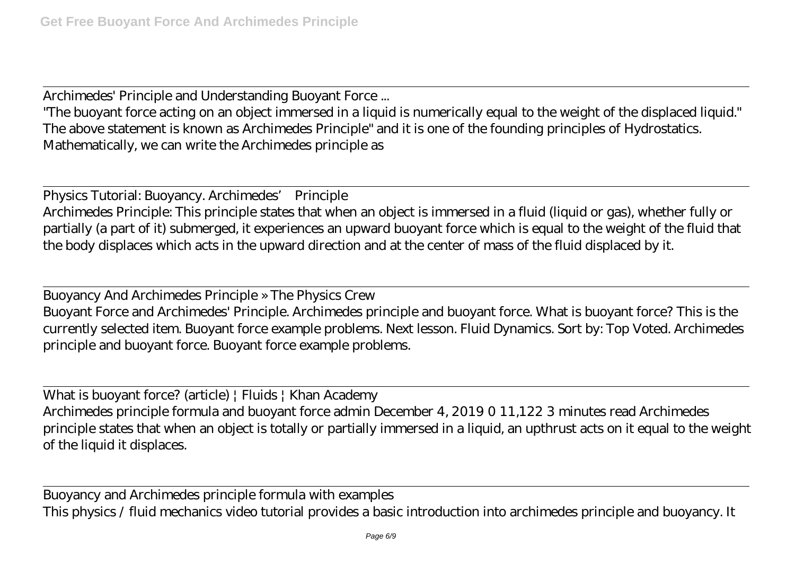Archimedes' Principle and Understanding Buoyant Force ...

"The buoyant force acting on an object immersed in a liquid is numerically equal to the weight of the displaced liquid." The above statement is known as Archimedes Principle" and it is one of the founding principles of Hydrostatics. Mathematically, we can write the Archimedes principle as

Physics Tutorial: Buoyancy. Archimedes' Principle Archimedes Principle: This principle states that when an object is immersed in a fluid (liquid or gas), whether fully or partially (a part of it) submerged, it experiences an upward buoyant force which is equal to the weight of the fluid that the body displaces which acts in the upward direction and at the center of mass of the fluid displaced by it.

Buoyancy And Archimedes Principle » The Physics Crew Buoyant Force and Archimedes' Principle. Archimedes principle and buoyant force. What is buoyant force? This is the currently selected item. Buoyant force example problems. Next lesson. Fluid Dynamics. Sort by: Top Voted. Archimedes principle and buoyant force. Buoyant force example problems.

What is buoyant force? (article) | Fluids | Khan Academy Archimedes principle formula and buoyant force admin December 4, 2019 0 11,122 3 minutes read Archimedes principle states that when an object is totally or partially immersed in a liquid, an upthrust acts on it equal to the weight of the liquid it displaces.

Buoyancy and Archimedes principle formula with examples This physics / fluid mechanics video tutorial provides a basic introduction into archimedes principle and buoyancy. It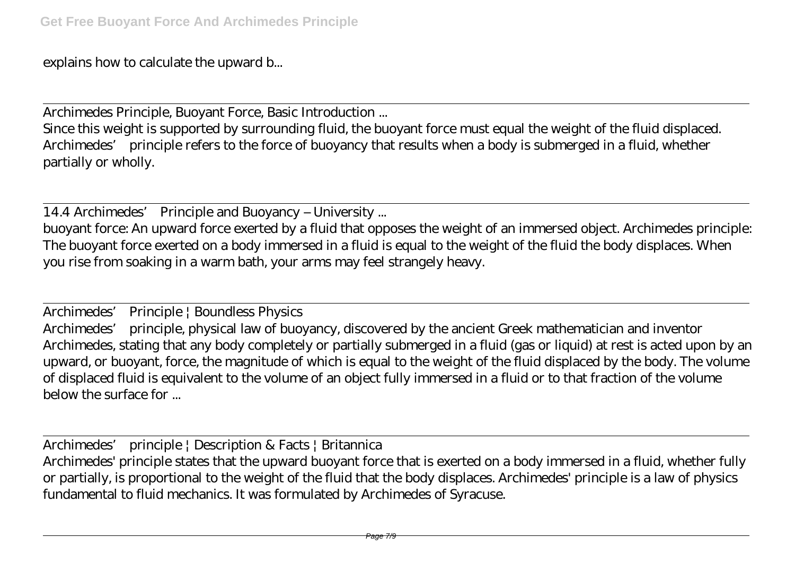explains how to calculate the upward b...

Archimedes Principle, Buoyant Force, Basic Introduction ...

Since this weight is supported by surrounding fluid, the buoyant force must equal the weight of the fluid displaced. Archimedes' principle refers to the force of buoyancy that results when a body is submerged in a fluid, whether partially or wholly.

14.4 Archimedes' Principle and Buoyancy – University ...

buoyant force: An upward force exerted by a fluid that opposes the weight of an immersed object. Archimedes principle: The buoyant force exerted on a body immersed in a fluid is equal to the weight of the fluid the body displaces. When you rise from soaking in a warm bath, your arms may feel strangely heavy.

Archimedes' Principle | Boundless Physics Archimedes' principle, physical law of buoyancy, discovered by the ancient Greek mathematician and inventor Archimedes, stating that any body completely or partially submerged in a fluid (gas or liquid) at rest is acted upon by an upward, or buoyant, force, the magnitude of which is equal to the weight of the fluid displaced by the body. The volume of displaced fluid is equivalent to the volume of an object fully immersed in a fluid or to that fraction of the volume below the surface for ...

Archimedes' principle | Description & Facts | Britannica Archimedes' principle states that the upward buoyant force that is exerted on a body immersed in a fluid, whether fully or partially, is proportional to the weight of the fluid that the body displaces. Archimedes' principle is a law of physics fundamental to fluid mechanics. It was formulated by Archimedes of Syracuse.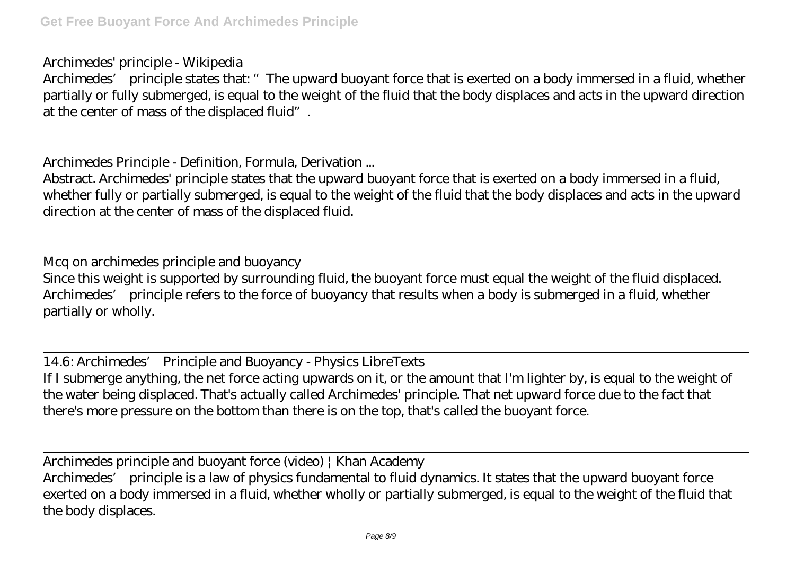## Archimedes' principle - Wikipedia

Archimedes' principle states that: "The upward buoyant force that is exerted on a body immersed in a fluid, whether partially or fully submerged, is equal to the weight of the fluid that the body displaces and acts in the upward direction at the center of mass of the displaced fluid".

Archimedes Principle - Definition, Formula, Derivation ...

Abstract. Archimedes' principle states that the upward buoyant force that is exerted on a body immersed in a fluid, whether fully or partially submerged, is equal to the weight of the fluid that the body displaces and acts in the upward direction at the center of mass of the displaced fluid.

Mcq on archimedes principle and buoyancy Since this weight is supported by surrounding fluid, the buoyant force must equal the weight of the fluid displaced. Archimedes' principle refers to the force of buoyancy that results when a body is submerged in a fluid, whether partially or wholly.

14.6: Archimedes' Principle and Buoyancy - Physics LibreTexts If I submerge anything, the net force acting upwards on it, or the amount that I'm lighter by, is equal to the weight of the water being displaced. That's actually called Archimedes' principle. That net upward force due to the fact that there's more pressure on the bottom than there is on the top, that's called the buoyant force.

Archimedes principle and buoyant force (video) | Khan Academy

Archimedes' principle is a law of physics fundamental to fluid dynamics. It states that the upward buoyant force exerted on a body immersed in a fluid, whether wholly or partially submerged, is equal to the weight of the fluid that the body displaces.